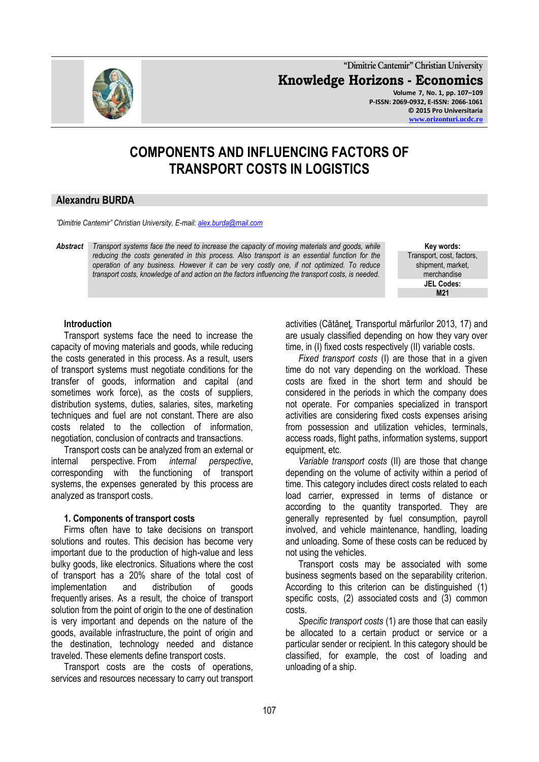**"Dimitrie Cantemir" Christian University Knowledge Horizons - Economics Volume 7, No. 1, pp. 107–109 P-ISSN: 2069-0932, E-ISSN: 2066-1061 © 2015 Pro Universitaria [www.orizonturi.ucdc.ro](http://www.orizonturi.ucdc.ro/)**

# **COMPONENTS AND INFLUENCING FACTORS OF TRANSPORT COSTS IN LOGISTICS**

# **Alexandru BURDA**

*"Dimitrie Cantemir" Christian University, E-mail[: alex.burda@mail.com](mailto:alex.burda@mail.com)*

*Abstract Transport systems face the need to increase the capacity of moving materials and goods, while reducing the costs generated in this process. Also transport is an essential function for the operation of any business. However it can be very costly one, if not optimized. To reduce transport costs, knowledge of and action on the factors influencing the transport costs, is needed.*

**Key words:** Transport, cost, factors, shipment, market, merchandise **JEL Codes: M21**

#### **Introduction**

Transport systems face the need to increase the capacity of moving materials and goods, while reducing the costs generated in this process. As a result, users of transport systems must negotiate conditions for the transfer of goods, information and capital (and sometimes work force), as the costs of suppliers, distribution systems, duties, salaries, sites, marketing techniques and fuel are not constant. There are also costs related to the collection of information, negotiation, conclusion of contracts and transactions.

Transport costs can be analyzed from an external or internal perspective. From *internal perspective*, corresponding with the functioning of transport systems, the expenses generated by this process are analyzed as transport costs.

# **1. Components of transport costs**

Firms often have to take decisions on transport solutions and routes. This decision has become very important due to the production of high-value and less bulky goods, like electronics. Situations where the cost of transport has a 20% share of the total cost of implementation and distribution of goods frequently arises. As a result, the choice of transport solution from the point of origin to the one of destination is very important and depends on the nature of the goods, available infrastructure, the point of origin and the destination, technology needed and distance traveled. These elements define transport costs.

Transport costs are the costs of operations, services and resources necessary to carry out transport activities (Cătăneţ, Transportul mărfurilor 2013, 17) and are usualy classified depending on how they vary over time, in (I) fixed costs respectively (II) variable costs.

*Fixed transport costs* (I) are those that in a given time do not vary depending on the workload. These costs are fixed in the short term and should be considered in the periods in which the company does not operate. For companies specialized in transport activities are considering fixed costs expenses arising from possession and utilization vehicles, terminals, access roads, flight paths, information systems, support equipment, etc.

*Variable transport costs* (II) are those that change depending on the volume of activity within a period of time. This category includes direct costs related to each load carrier, expressed in terms of distance or according to the quantity transported. They are generally represented by fuel consumption, payroll involved, and vehicle maintenance, handling, loading and unloading. Some of these costs can be reduced by not using the vehicles.

Transport costs may be associated with some business segments based on the separability criterion. According to this criterion can be distinguished (1) specific costs, (2) associated costs and (3) common costs.

*Specific transport costs* (1) are those that can easily be allocated to a certain product or service or a particular sender or recipient. In this category should be classified, for example, the cost of loading and unloading of a ship.

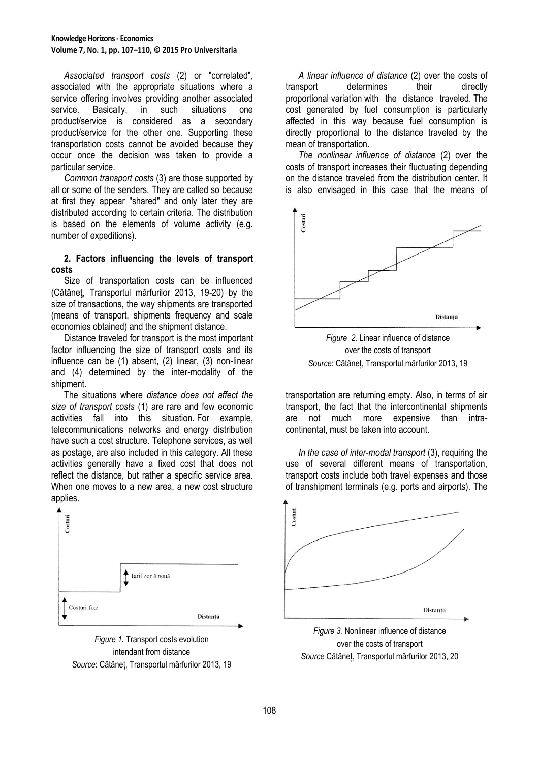*Associated transport costs* (2) or "correlated", associated with the appropriate situations where a service offering involves providing another associated service. Basically, in such situations one product/service is considered as a secondary product/service for the other one. Supporting these transportation costs cannot be avoided because they occur once the decision was taken to provide a particular service.

*Common transport costs* (3) are those supported by all or some of the senders. They are called so because at first they appear "shared" and only later they are distributed according to certain criteria. The distribution is based on the elements of volume activity (e.g. number of expeditions).

## **2. Factors influencing the levels of transport costs**

Size of transportation costs can be influenced (Cătăneţ, Transportul mărfurilor 2013, 19-20) by the size of transactions, the way shipments are transported (means of transport, shipments frequency and scale economies obtained) and the shipment distance.

Distance traveled for transport is the most important factor influencing the size of transport costs and its influence can be (1) absent, (2) linear, (3) non-linear and (4) determined by the inter-modality of the shipment.

The situations where *distance does not affect the size of transport costs* (1) are rare and few economic activities fall into this situation. For example, telecommunications networks and energy distribution have such a cost structure. Telephone services, as well as postage, are also included in this category. All these activities generally have a fixed cost that does not reflect the distance, but rather a specific service area. When one moves to a new area, a new cost structure applies.





*A linear influence of distance* (2) over the costs of transport determines their directly proportional variation with the distance traveled. The cost generated by fuel consumption is particularly affected in this way because fuel consumption is directly proportional to the distance traveled by the mean of transportation.

*The nonlinear influence of distance* (2) over the costs of transport increases their fluctuating depending on the distance traveled from the distribution center. It is also envisaged in this case that the means of



*Figure 2.* Linear influence of distance over the costs of transport *Source*: Cătăneț, Transportul mărfurilor 2013, 19

transportation are returning empty. Also, in terms of air transport, the fact that the intercontinental shipments are not much more expensive than intracontinental, must be taken into account.

*In the case of inter-modal transport* (3), requiring the use of several different means of transportation, transport costs include both travel expenses and those of transhipment terminals (e.g. ports and airports). The